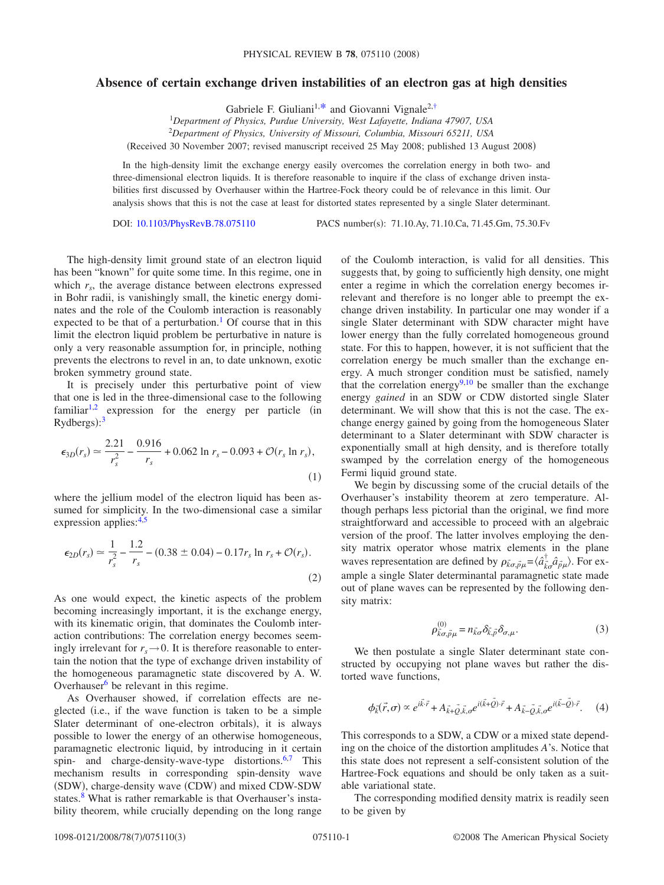## **Absence of certain exchange driven instabilities of an electron gas at high densities**

Gabriele F. Giuliani<sup>1[,\\*](#page-2-0)</sup> and Giovanni Vignale<sup>2[,†](#page-2-1)</sup>

1 *Department of Physics, Purdue University, West Lafayette, Indiana 47907, USA*

2 *Department of Physics, University of Missouri, Columbia, Missouri 65211, USA*

Received 30 November 2007; revised manuscript received 25 May 2008; published 13 August 2008-

In the high-density limit the exchange energy easily overcomes the correlation energy in both two- and three-dimensional electron liquids. It is therefore reasonable to inquire if the class of exchange driven instabilities first discussed by Overhauser within the Hartree-Fock theory could be of relevance in this limit. Our analysis shows that this is not the case at least for distorted states represented by a single Slater determinant.

DOI: [10.1103/PhysRevB.78.075110](http://dx.doi.org/10.1103/PhysRevB.78.075110)

PACS number(s): 71.10.Ay, 71.10.Ca, 71.45.Gm, 75.30.Fv

The high-density limit ground state of an electron liquid has been "known" for quite some time. In this regime, one in which  $r_s$ , the average distance between electrons expressed in Bohr radii, is vanishingly small, the kinetic energy dominates and the role of the Coulomb interaction is reasonably expected to be that of a perturbation.<sup>1</sup> Of course that in this limit the electron liquid problem be perturbative in nature is only a very reasonable assumption for, in principle, nothing prevents the electrons to revel in an, to date unknown, exotic broken symmetry ground state.

It is precisely under this perturbative point of view that one is led in the three-dimensional case to the following  $familiar<sup>1,2</sup>$  $familiar<sup>1,2</sup>$  $familiar<sup>1,2</sup>$  expression for the energy per particle (in  $Rydbergs$ :<sup>[3](#page-2-4)</sup>

<span id="page-0-1"></span>
$$
\epsilon_{3D}(r_s) \simeq \frac{2.21}{r_s^2} - \frac{0.916}{r_s} + 0.062 \ln r_s - 0.093 + \mathcal{O}(r_s \ln r_s),\tag{1}
$$

where the jellium model of the electron liquid has been assumed for simplicity. In the two-dimensional case a similar expression applies:<sup>4,[5](#page-2-6)</sup>

<span id="page-0-2"></span>
$$
\epsilon_{2D}(r_s) \simeq \frac{1}{r_s^2} - \frac{1.2}{r_s} - (0.38 \pm 0.04) - 0.17r_s \ln r_s + \mathcal{O}(r_s). \tag{2}
$$

As one would expect, the kinetic aspects of the problem becoming increasingly important, it is the exchange energy, with its kinematic origin, that dominates the Coulomb interaction contributions: The correlation energy becomes seemingly irrelevant for  $r_s \rightarrow 0$ . It is therefore reasonable to entertain the notion that the type of exchange driven instability of the homogeneous paramagnetic state discovered by A. W. Overhauser $6$  be relevant in this regime.

As Overhauser showed, if correlation effects are neglected (i.e., if the wave function is taken to be a simple Slater determinant of one-electron orbitals), it is always possible to lower the energy of an otherwise homogeneous, paramagnetic electronic liquid, by introducing in it certain spin- and charge-density-wave-type distortions.<sup>6,[7](#page-2-8)</sup> This mechanism results in corresponding spin-density wave (SDW), charge-density wave (CDW) and mixed CDW-SDW states.<sup>8</sup> What is rather remarkable is that Overhauser's instability theorem, while crucially depending on the long range of the Coulomb interaction, is valid for all densities. This suggests that, by going to sufficiently high density, one might enter a regime in which the correlation energy becomes irrelevant and therefore is no longer able to preempt the exchange driven instability. In particular one may wonder if a single Slater determinant with SDW character might have lower energy than the fully correlated homogeneous ground state. For this to happen, however, it is not sufficient that the correlation energy be much smaller than the exchange energy. A much stronger condition must be satisfied, namely that the correlation energy $9,10$  $9,10$  be smaller than the exchange energy *gained* in an SDW or CDW distorted single Slater determinant. We will show that this is not the case. The exchange energy gained by going from the homogeneous Slater determinant to a Slater determinant with SDW character is exponentially small at high density, and is therefore totally swamped by the correlation energy of the homogeneous Fermi liquid ground state.

We begin by discussing some of the crucial details of the Overhauser's instability theorem at zero temperature. Although perhaps less pictorial than the original, we find more straightforward and accessible to proceed with an algebraic version of the proof. The latter involves employing the density matrix operator whose matrix elements in the plane waves representation are defined by  $\rho_{\vec{k}\sigma,\vec{p}\mu} = \langle \hat{a}^{\dagger}_{\vec{k}\sigma} \hat{a}^{\dagger}_{\vec{p}\mu} \rangle$ . For example a single Slater determinantal paramagnetic state made out of plane waves can be represented by the following density matrix:

$$
\rho_{\vec{k}\sigma,\vec{p}\mu}^{(0)} = n_{\vec{k}\sigma} \delta_{\vec{k},\vec{p}} \delta_{\sigma,\mu}.
$$
\n(3)

We then postulate a single Slater determinant state constructed by occupying not plane waves but rather the distorted wave functions,

$$
\phi_{\vec{k}}(\vec{r},\sigma) \propto e^{i\vec{k}\cdot\vec{r}} + A_{\vec{k}+\vec{Q},\vec{k},\sigma}e^{i(\vec{k}+\vec{Q})\cdot\vec{r}} + A_{\vec{k}-\vec{Q},\vec{k},\sigma}e^{i(\vec{k}-\vec{Q})\cdot\vec{r}}.\tag{4}
$$

<span id="page-0-0"></span>This corresponds to a SDW, a CDW or a mixed state depending on the choice of the distortion amplitudes *A*'s. Notice that this state does not represent a self-consistent solution of the Hartree-Fock equations and should be only taken as a suitable variational state.

The corresponding modified density matrix is readily seen to be given by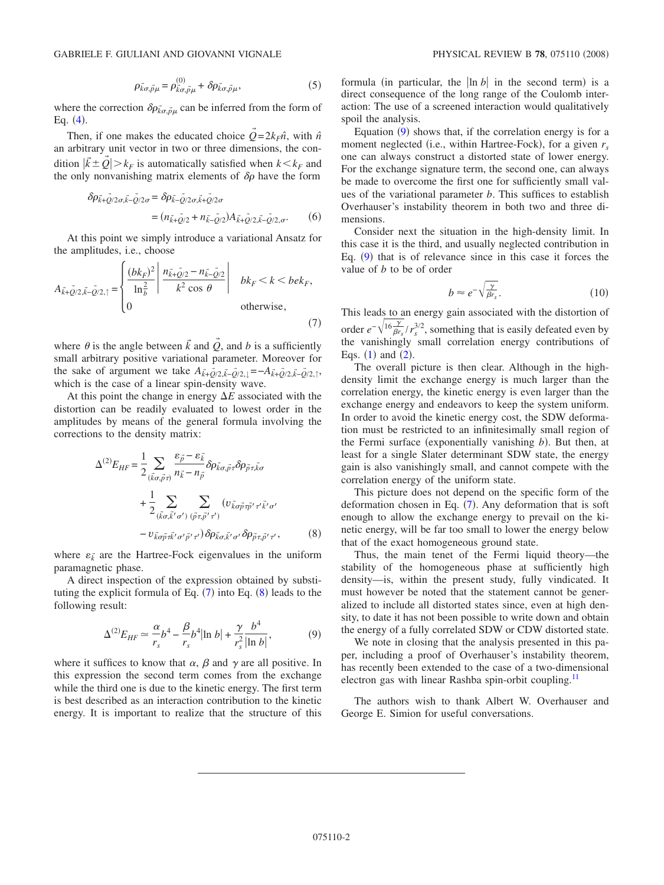where the correction  $\delta \rho_{\vec{k}\sigma,\vec{p}\mu}$  can be inferred from the form of Eq.  $(4)$  $(4)$  $(4)$ .

Then, if one makes the educated choice  $\tilde{Q} = 2k_F \hat{n}$ , with  $\hat{n}$ an arbitrary unit vector in two or three dimensions, the condition  $|\vec{k} \pm \vec{Q}| > k_F$  is automatically satisfied when  $k < k_F$  and the only nonvanishing matrix elements of  $\delta \rho$  have the form

$$
\delta \rho_{\vec{k}+\vec{Q}/2\sigma,\vec{k}-\vec{Q}/2\sigma} = \delta \rho_{\vec{k}-\vec{Q}/2\sigma,\vec{k}+\vec{Q}/2\sigma} \n= (n_{\vec{k}+\vec{Q}/2} + n_{\vec{k}-\vec{Q}/2}) A_{\vec{k}+\vec{Q}/2,\vec{k}-\vec{Q}/2,\sigma}.
$$
\n(6)

At this point we simply introduce a variational Ansatz for the amplitudes, i.e., choose

<span id="page-1-0"></span>
$$
A_{\vec{k}+\vec{Q}/2,\vec{k}-\vec{Q}/2,\uparrow} = \begin{cases} \frac{(bk_F)^2}{\ln\frac{2}{b}} \left| \frac{n_{\vec{k}+\vec{Q}/2} - n_{\vec{k}-\vec{Q}/2}}{k^2 \cos\theta} \right| & bk_F < k < bek_F, \\ 0 & \text{otherwise,} \end{cases}
$$
(7)

where  $\theta$  is the angle between  $\vec{k}$  and  $\vec{Q}$ , and  $\vec{b}$  is a sufficiently small arbitrary positive variational parameter. Moreover for the sake of argument we take  $A_{\vec{k}+\vec{Q}/2,\vec{k}-\vec{Q}/2,\downarrow} = -A_{\vec{k}+\vec{Q}/2,\vec{k}-\vec{Q}/2,\uparrow}$ , which is the case of a linear spin-density wave.

At this point the change in energy  $\Delta E$  associated with the distortion can be readily evaluated to lowest order in the amplitudes by means of the general formula involving the corrections to the density matrix:

<span id="page-1-1"></span>
$$
\Delta^{(2)}E_{HF} = \frac{1}{2} \sum_{(\vec{k}\sigma,\vec{p}\tau)} \frac{\varepsilon_{\vec{p}} - \varepsilon_{\vec{k}}}{n_{\vec{k}} - n_{\vec{p}}} \delta\rho_{\vec{k}\sigma,\vec{p}\tau} \delta\rho_{\vec{p}\tau,\vec{k}\sigma} + \frac{1}{2} \sum_{(\vec{k}\sigma,\vec{k}'\sigma')} \sum_{(\vec{p}\tau,\vec{p}'\tau')} (v_{\vec{k}\sigma\vec{p}\tau\vec{p}'\tau'\vec{k}'\sigma'} - v_{\vec{k}\sigma\vec{p}\tau\vec{k}'\sigma'\vec{p}'\tau'}) \delta\rho_{\vec{k}\sigma,\vec{k}'\sigma'} \delta\rho_{\vec{p}\tau,\vec{p}'\tau'},
$$
(8)

where  $\varepsilon_k^*$  are the Hartree-Fock eigenvalues in the uniform paramagnetic phase.

A direct inspection of the expression obtained by substituting the explicit formula of Eq.  $(7)$  $(7)$  $(7)$  into Eq.  $(8)$  $(8)$  $(8)$  leads to the following result:

$$
\Delta^{(2)}E_{HF} \simeq \frac{\alpha}{r_s} b^4 - \frac{\beta}{r_s} b^4 |\ln b| + \frac{\gamma}{r_s^2} \frac{b^4}{|\ln b|},
$$
 (9)

<span id="page-1-2"></span>where it suffices to know that  $\alpha$ ,  $\beta$  and  $\gamma$  are all positive. In this expression the second term comes from the exchange while the third one is due to the kinetic energy. The first term is best described as an interaction contribution to the kinetic energy. It is important to realize that the structure of this

formula (in particular, the  $\vert \ln b \vert$  in the second term) is a direct consequence of the long range of the Coulomb interaction: The use of a screened interaction would qualitatively spoil the analysis.

Equation  $(9)$  $(9)$  $(9)$  shows that, if the correlation energy is for a moment neglected (i.e., within Hartree-Fock), for a given  $r_s$ one can always construct a distorted state of lower energy. For the exchange signature term, the second one, can always be made to overcome the first one for sufficiently small values of the variational parameter *b*. This suffices to establish Overhauser's instability theorem in both two and three dimensions.

Consider next the situation in the high-density limit. In this case it is the third, and usually neglected contribution in Eq.  $(9)$  $(9)$  $(9)$  that is of relevance since in this case it forces the value of *b* to be of order

$$
b \approx e^{-\sqrt{\frac{\gamma}{\beta r_s}}}.\tag{10}
$$

This leads to an energy gain associated with the distortion of order  $e^{-\sqrt{16\frac{\gamma}{\beta r_s}}}/r_s^{3/2}$ , something that is easily defeated even by the vanishingly small correlation energy contributions of Eqs.  $(1)$  $(1)$  $(1)$  and  $(2)$  $(2)$  $(2)$ .

The overall picture is then clear. Although in the highdensity limit the exchange energy is much larger than the correlation energy, the kinetic energy is even larger than the exchange energy and endeavors to keep the system uniform. In order to avoid the kinetic energy cost, the SDW deformation must be restricted to an infinitesimally small region of the Fermi surface (exponentially vanishing *b*). But then, at least for a single Slater determinant SDW state, the energy gain is also vanishingly small, and cannot compete with the correlation energy of the uniform state.

This picture does not depend on the specific form of the deformation chosen in Eq.  $(7)$  $(7)$  $(7)$ . Any deformation that is soft enough to allow the exchange energy to prevail on the kinetic energy, will be far too small to lower the energy below that of the exact homogeneous ground state.

Thus, the main tenet of the Fermi liquid theory—the stability of the homogeneous phase at sufficiently high density—is, within the present study, fully vindicated. It must however be noted that the statement cannot be generalized to include all distorted states since, even at high density, to date it has not been possible to write down and obtain the energy of a fully correlated SDW or CDW distorted state.

We note in closing that the analysis presented in this paper, including a proof of Overhauser's instability theorem, has recently been extended to the case of a two-dimensional electron gas with linear Rashba spin-orbit coupling. $<sup>11</sup>$ </sup>

The authors wish to thank Albert W. Overhauser and George E. Simion for useful conversations.